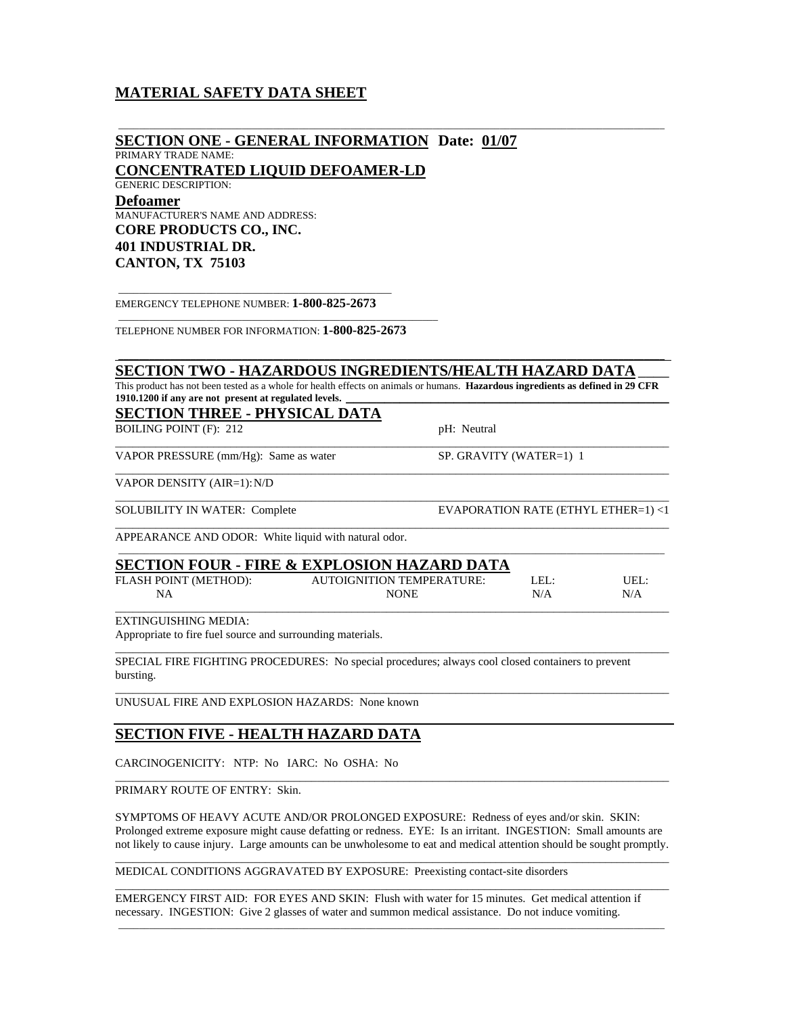# **MATERIAL SAFETY DATA SHEET**

| <b>SECTION ONE - GENERAL INFORMATION Date: 01/07</b><br>PRIMARY TRADE NAME:                                                                                                              |                                  |                                     |      |
|------------------------------------------------------------------------------------------------------------------------------------------------------------------------------------------|----------------------------------|-------------------------------------|------|
| <b>CONCENTRATED LIQUID DEFOAMER-LD</b>                                                                                                                                                   |                                  |                                     |      |
| <b>GENERIC DESCRIPTION:</b>                                                                                                                                                              |                                  |                                     |      |
| <b>Defoamer</b><br><b>MANUFACTURER'S NAME AND ADDRESS:</b>                                                                                                                               |                                  |                                     |      |
| <b>CORE PRODUCTS CO., INC.</b>                                                                                                                                                           |                                  |                                     |      |
| <b>401 INDUSTRIAL DR.</b>                                                                                                                                                                |                                  |                                     |      |
| <b>CANTON, TX 75103</b>                                                                                                                                                                  |                                  |                                     |      |
| EMERGENCY TELEPHONE NUMBER: 1-800-825-2673                                                                                                                                               |                                  |                                     |      |
| TELEPHONE NUMBER FOR INFORMATION: 1-800-825-2673                                                                                                                                         |                                  |                                     |      |
| <b>SECTION TWO - HAZARDOUS INGREDIENTS/HEALTH HAZARD DATA</b>                                                                                                                            |                                  |                                     |      |
| This product has not been tested as a whole for health effects on animals or humans. Hazardous ingredients as defined in 29 CFR<br>1910.1200 if any are not present at regulated levels. |                                  |                                     |      |
| <u> SECTION THREE - PHYSICAL DATA</u>                                                                                                                                                    |                                  |                                     |      |
| <b>BOILING POINT (F): 212</b>                                                                                                                                                            | pH: Neutral                      |                                     |      |
| VAPOR PRESSURE (mm/Hg): Same as water                                                                                                                                                    |                                  | SP. GRAVITY (WATER=1) 1             |      |
| VAPOR DENSITY (AIR=1): N/D                                                                                                                                                               |                                  |                                     |      |
| <b>SOLUBILITY IN WATER: Complete</b>                                                                                                                                                     |                                  | EVAPORATION RATE (ETHYL ETHER=1) <1 |      |
| APPEARANCE AND ODOR: White liquid with natural odor.                                                                                                                                     |                                  |                                     |      |
| <b>SECTION FOUR - FIRE &amp; EXPLOSION HAZARD DATA</b>                                                                                                                                   |                                  |                                     |      |
| FLASH POINT (METHOD):                                                                                                                                                                    | <b>AUTOIGNITION TEMPERATURE:</b> | LEL:                                | UEL: |
| <b>NA</b>                                                                                                                                                                                | <b>NONE</b>                      | N/A                                 | N/A  |
| <b>EXTINGUISHING MEDIA:</b><br>Appropriate to fire fuel source and surrounding materials.                                                                                                |                                  |                                     |      |
| SPECIAL FIRE FIGHTING PROCEDURES: No special procedures; always cool closed containers to prevent<br>bursting.                                                                           |                                  |                                     |      |
| UNUSUAL FIRE AND EXPLOSION HAZARDS: None known                                                                                                                                           |                                  |                                     |      |
| <u>SECTION FIVE - HEALTH HAZARD DATA</u>                                                                                                                                                 |                                  |                                     |      |
| CARCINOGENICITY: NTP: No IARC: No OSHA: No                                                                                                                                               |                                  |                                     |      |

PRIMARY ROUTE OF ENTRY: Skin.

SYMPTOMS OF HEAVY ACUTE AND/OR PROLONGED EXPOSURE: Redness of eyes and/or skin. SKIN: Prolonged extreme exposure might cause defatting or redness. EYE: Is an irritant. INGESTION: Small amounts are not likely to cause injury. Large amounts can be unwholesome to eat and medical attention should be sought promptly. \_\_\_\_\_\_\_\_\_\_\_\_\_\_\_\_\_\_\_\_\_\_\_\_\_\_\_\_\_\_\_\_\_\_\_\_\_\_\_\_\_\_\_\_\_\_\_\_\_\_\_\_\_\_\_\_\_\_\_\_\_\_\_\_\_\_\_\_\_\_\_\_\_\_\_\_\_\_\_\_\_\_\_\_\_\_\_\_\_\_\_\_\_\_\_\_

\_\_\_\_\_\_\_\_\_\_\_\_\_\_\_\_\_\_\_\_\_\_\_\_\_\_\_\_\_\_\_\_\_\_\_\_\_\_\_\_\_\_\_\_\_\_\_\_\_\_\_\_\_\_\_\_\_\_\_\_\_\_\_\_\_\_\_\_\_\_\_\_\_\_\_\_\_\_\_\_\_\_\_\_\_\_\_\_\_\_\_\_\_\_\_\_

\_\_\_\_\_\_\_\_\_\_\_\_\_\_\_\_\_\_\_\_\_\_\_\_\_\_\_\_\_\_\_\_\_\_\_\_\_\_\_\_\_\_\_\_\_\_\_\_\_\_\_\_\_\_\_\_\_\_\_\_\_\_\_\_\_\_\_\_\_\_\_\_\_\_\_\_\_\_\_\_\_\_\_\_\_\_\_\_\_\_\_\_\_\_\_\_\_\_\_\_\_\_\_\_\_\_

MEDICAL CONDITIONS AGGRAVATED BY EXPOSURE: Preexisting contact-site disorders

EMERGENCY FIRST AID: FOR EYES AND SKIN: Flush with water for 15 minutes. Get medical attention if necessary. INGESTION: Give 2 glasses of water and summon medical assistance. Do not induce vomiting.